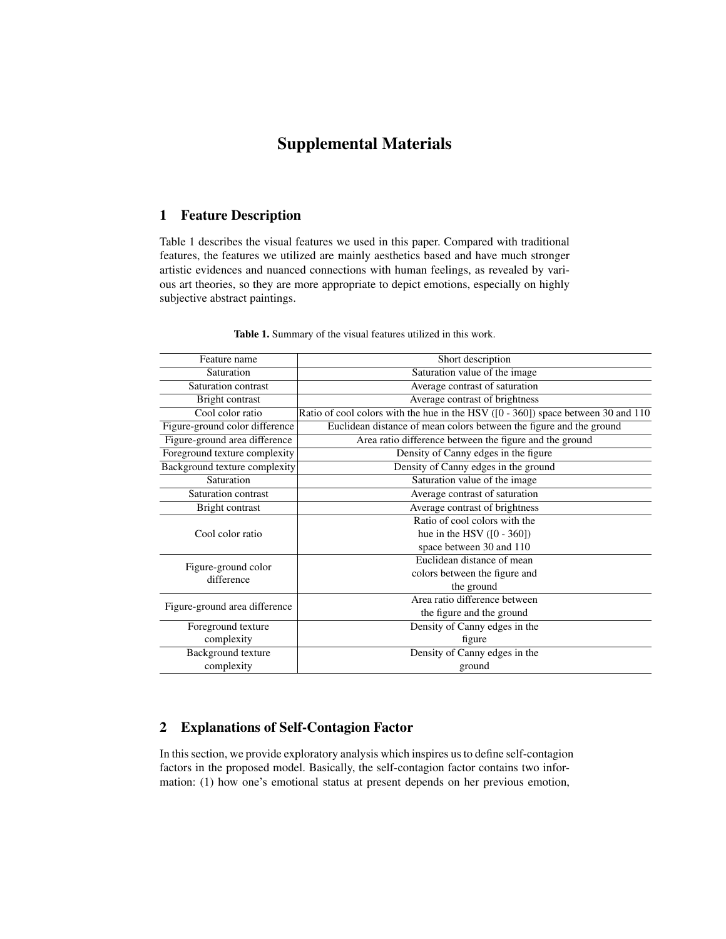# Supplemental Materials

## 1 Feature Description

Table 1 describes the visual features we used in this paper. Compared with traditional features, the features we utilized are mainly aesthetics based and have much stronger artistic evidences and nuanced connections with human feelings, as revealed by various art theories, so they are more appropriate to depict emotions, especially on highly subjective abstract paintings.

| Feature name                      | Short description                                                                 |
|-----------------------------------|-----------------------------------------------------------------------------------|
| Saturation                        | Saturation value of the image                                                     |
| Saturation contrast               | Average contrast of saturation                                                    |
| Bright contrast                   | Average contrast of brightness                                                    |
| Cool color ratio                  | Ratio of cool colors with the hue in the HSV ([0 - 360]) space between 30 and 110 |
| Figure-ground color difference    | Euclidean distance of mean colors between the figure and the ground               |
| Figure-ground area difference     | Area ratio difference between the figure and the ground                           |
| Foreground texture complexity     | Density of Canny edges in the figure                                              |
| Background texture complexity     | Density of Canny edges in the ground                                              |
| Saturation                        | Saturation value of the image                                                     |
| Saturation contrast               | Average contrast of saturation                                                    |
| Bright contrast                   | Average contrast of brightness                                                    |
| Cool color ratio                  | Ratio of cool colors with the                                                     |
|                                   | hue in the HSV $([0 - 360])$                                                      |
|                                   | space between 30 and 110                                                          |
| Figure-ground color<br>difference | Euclidean distance of mean                                                        |
|                                   | colors between the figure and                                                     |
|                                   | the ground                                                                        |
| Figure-ground area difference     | Area ratio difference between                                                     |
|                                   | the figure and the ground                                                         |
| Foreground texture                | Density of Canny edges in the                                                     |
| complexity                        | figure                                                                            |
| Background texture                | Density of Canny edges in the                                                     |
| complexity                        | ground                                                                            |

Table 1. Summary of the visual features utilized in this work.

### 2 Explanations of Self-Contagion Factor

In this section, we provide exploratory analysis which inspires us to define self-contagion factors in the proposed model. Basically, the self-contagion factor contains two information: (1) how one's emotional status at present depends on her previous emotion,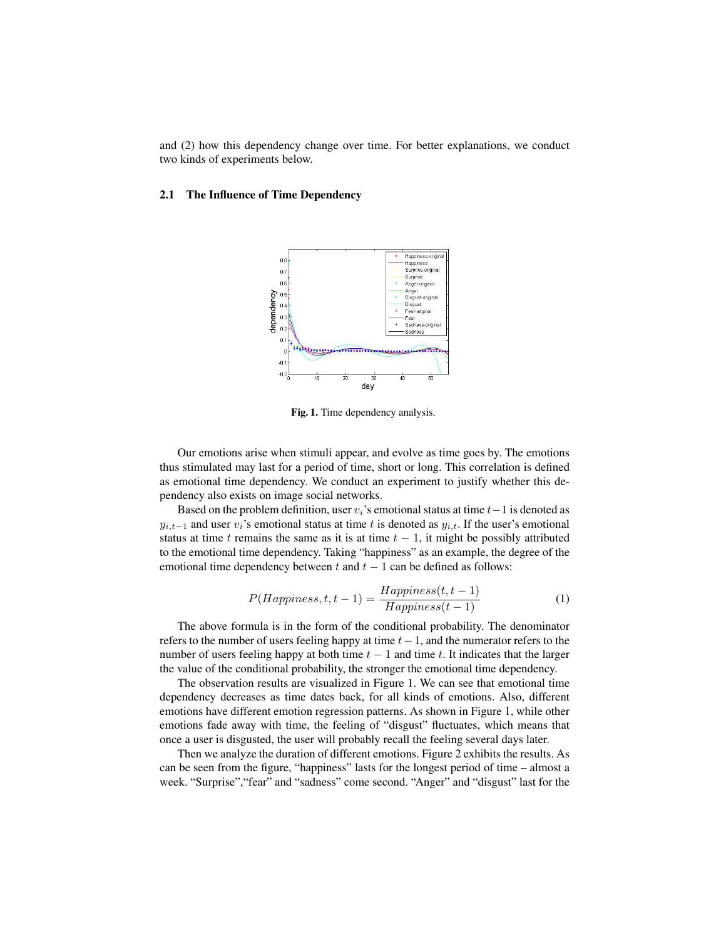and (2) how this dependency change over time. For better explanations, we conduct two kinds of experiments below.

#### 2.1 The Influence of Time Dependency



Fig. 1. Time dependency analysis.

Our emotions arise when stimuli appear, and evolve as time goes by. The emotions thus stimulated may last for a period of time, short or long. This correlation is defined as emotional time dependency. We conduct an experiment to justify whether this dependency also exists on image social networks.

Based on the problem definition, user  $v_i$ 's emotional status at time  $t-1$  is denoted as  $y_{i,t-1}$  and user  $v_i$ 's emotional status at time t is denoted as  $y_{i,t}$ . If the user's emotional status at time t remains the same as it is at time  $t - 1$ , it might be possibly attributed to the emotional time dependency. Taking "happiness" as an example, the degree of the emotional time dependency between t and  $t - 1$  can be defined as follows:

$$
P(Happiness, t, t-1) = \frac{Happiness(t, t-1)}{Happiness(t-1)}
$$
(1)

The above formula is in the form of the conditional probability. The denominator refers to the number of users feeling happy at time  $t-1$ , and the numerator refers to the number of users feeling happy at both time  $t - 1$  and time t. It indicates that the larger the value of the conditional probability, the stronger the emotional time dependency.

The observation results are visualized in Figure 1. We can see that emotional time dependency decreases as time dates back, for all kinds of emotions. Also, different emotions have different emotion regression patterns. As shown in Figure 1, while other emotions fade away with time, the feeling of "disgust" fluctuates, which means that once a user is disgusted, the user will probably recall the feeling several days later.

Then we analyze the duration of different emotions. Figure 2 exhibits the results. As can be seen from the figure, "happiness" lasts for the longest period of time – almost a week. "Surprise","fear" and "sadness" come second. "Anger" and "disgust" last for the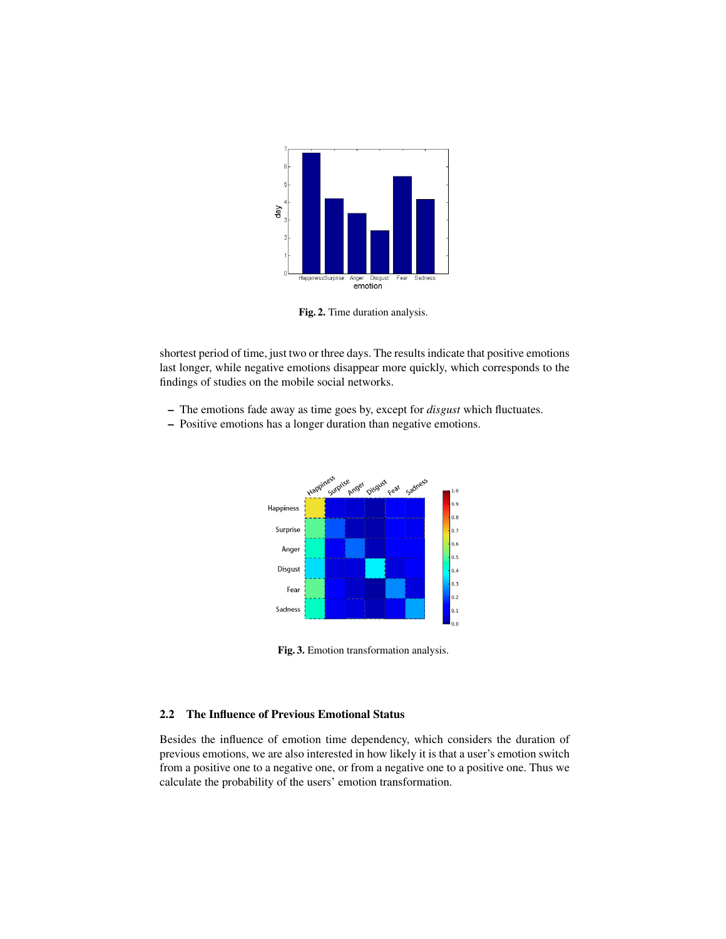

Fig. 2. Time duration analysis.

shortest period of time, just two or three days. The results indicate that positive emotions last longer, while negative emotions disappear more quickly, which corresponds to the findings of studies on the mobile social networks.

- The emotions fade away as time goes by, except for *disgust* which fluctuates.
- Positive emotions has a longer duration than negative emotions.



Fig. 3. Emotion transformation analysis.

### 2.2 The Influence of Previous Emotional Status

Besides the influence of emotion time dependency, which considers the duration of previous emotions, we are also interested in how likely it is that a user's emotion switch from a positive one to a negative one, or from a negative one to a positive one. Thus we calculate the probability of the users' emotion transformation.